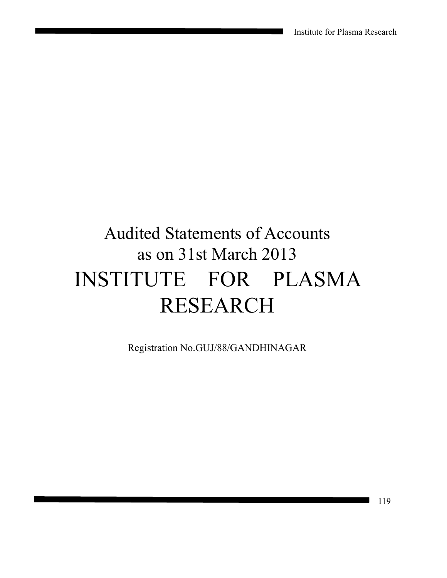# Audited Statements of Accounts as on 31st March 2013 INSTITUTE FOR PLASMA RESEARCH

Registration No.GUJ/88/GANDHINAGAR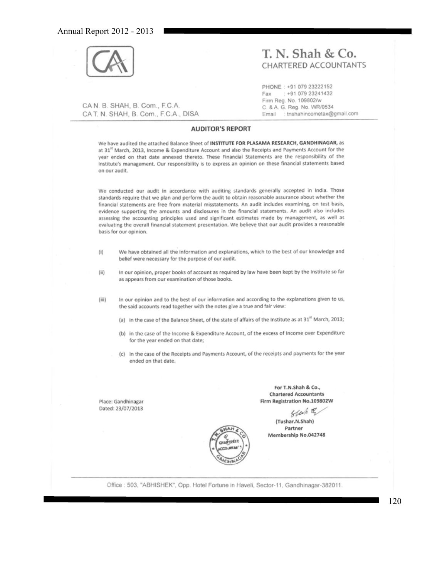

## T. N. Shah & Co. **CHARTERED ACCOUNTANTS**

PHONE: +91 079 23222152 : +91 079 23241432 Fax Firm Reg. No. 109802/w C. & A. G. Reg. No. WR/0534 Email : tnshahincometax@gmail.com

CA N. B. SHAH, B. Com., F.C.A. CA T. N. SHAH, B. Com., F.C.A., DISA

#### **AUDITOR'S REPORT**

We have audited the attached Balance Sheet of INSTITUTE FOR PLASAMA RESEARCH, GANDHINAGAR, as at 31st March, 2013, Income & Expenditure Account and also the Receipts and Payments Account for the year ended on that date annexed thereto. These Financial Statements are the responsibility of the Institute's management. Our responsibility is to express an opinion on these financial statements based on our audit.

We conducted our audit in accordance with auditing standards generally accepted in India. Those standards require that we plan and perform the audit to obtain reasonable assurance about whether the financial statements are free from material misstatements. An audit includes examining, on test basis, evidence supporting the amounts and disclosures in the financial statements. An audit also includes assessing the accounting principles used and significant estimates made by management, as well as evaluating the overall financial statement presentation. We believe that our audit provides a reasonable basis for our opinion.

- $(i)$ We have obtained all the information and explanations, which to the best of our knowledge and belief were necessary for the purpose of our audit.
- In our opinion, proper books of account as required by law have been kept by the Institute so far  $(ii)$ as appears from our examination of those books.
- In our opinion and to the best of our information and according to the explanations given to us,  $(iii)$ the said accounts read together with the notes give a true and fair view:
	- (a) in the case of the Balance Sheet, of the state of affairs of the Institute as at 31<sup>st</sup> March, 2013;
	- (b) in the case of the Income & Expenditure Account, of the excess of Income over Expenditure for the year ended on that date;
	- (c) in the case of the Receipts and Payments Account, of the receipts and payments for the year ended on that date.

Place: Gandhinagar Dated: 23/07/2013

For T.N.Shah & Co., **Chartered Accountants** Firm Registration No.109802W

Stan &

(Tushar.N.Shah) Partner Membership No.042748

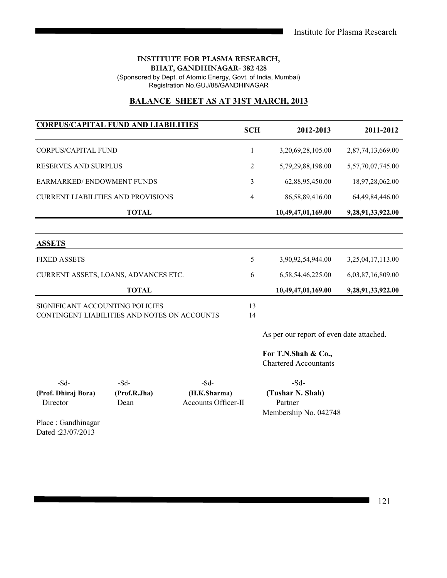#### **INSTITUTE FOR PLASMA RESEARCH, BHAT, GANDHINAGAR- 382 428** (Sponsored by Dept. of Atomic Energy, Govt. of India, Mumbai) Registration No.GUJ/88/GANDHINAGAR

## **BALANCE SHEET AS AT 31ST MARCH, 2013**

| <b>CORPUS/CAPITAL FUND AND LIABILITIES</b>                                      |                      |                                     | SCH.           | 2012-2013                                            | 2011-2012         |
|---------------------------------------------------------------------------------|----------------------|-------------------------------------|----------------|------------------------------------------------------|-------------------|
| <b>CORPUS/CAPITAL FUND</b>                                                      |                      |                                     | 1              | 3,20,69,28,105.00                                    | 2,87,74,13,669.00 |
| <b>RESERVES AND SURPLUS</b>                                                     |                      |                                     | 2              | 5,79,29,88,198.00                                    | 5,57,70,07,745.00 |
| EARMARKED/ENDOWMENT FUNDS                                                       |                      |                                     | 3              | 62,88,95,450.00                                      | 18,97,28,062.00   |
| <b>CURRENT LIABILITIES AND PROVISIONS</b>                                       |                      |                                     | $\overline{4}$ | 86,58,89,416.00                                      | 64,49,84,446.00   |
|                                                                                 | <b>TOTAL</b>         |                                     |                | 10,49,47,01,169.00                                   | 9,28,91,33,922.00 |
|                                                                                 |                      |                                     |                |                                                      |                   |
| <b>ASSETS</b>                                                                   |                      |                                     |                |                                                      |                   |
| <b>FIXED ASSETS</b>                                                             |                      |                                     | 5              | 3,90,92,54,944.00                                    | 3,25,04,17,113.00 |
| CURRENT ASSETS, LOANS, ADVANCES ETC.                                            |                      |                                     | 6              | 6,58,54,46,225.00                                    | 6,03,87,16,809.00 |
|                                                                                 | <b>TOTAL</b>         |                                     |                | 10,49,47,01,169.00                                   | 9,28,91,33,922.00 |
| SIGNIFICANT ACCOUNTING POLICIES<br>CONTINGENT LIABILITIES AND NOTES ON ACCOUNTS |                      |                                     | 13<br>14       |                                                      |                   |
|                                                                                 |                      |                                     |                | As per our report of even date attached.             |                   |
|                                                                                 |                      |                                     |                | For T.N.Shah & Co.,<br><b>Chartered Accountants</b>  |                   |
| $-Sd$                                                                           | $-Sd$                | $-Sd$ -                             |                | $-Sd-$                                               |                   |
| (Prof. Dhiraj Bora)<br>Director                                                 | (Prof.R.Jha)<br>Dean | (H.K.Sharma)<br>Accounts Officer-II |                | (Tushar N. Shah)<br>Partner<br>Membership No. 042748 |                   |
| Place: Gandhinagar                                                              |                      |                                     |                |                                                      |                   |

Dated :23/07/2013

121

<u> The Common Service Common Service Common Service Common Service Common Service Common Service Common Service Common Service Common Service Common Service Common Service Common Service Common Service Common Service Common</u>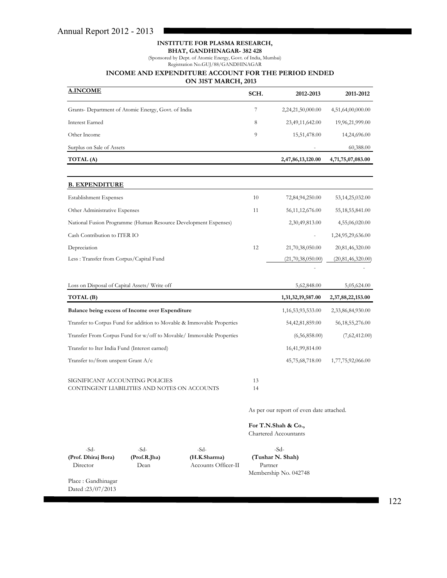**BHAT, GANDHINAGAR- 382 428**

(Sponsored by Dept. of Atomic Energy, Govt. of India, Mumbai)

Registration No.GUJ/88/GANDHINAGAR

#### **INCOME AND EXPENDITURE ACCOUNT FOR THE PERIOD ENDED ON 31ST MARCH, 2013**

| <b>A.INCOME</b>                                                                 | SCH.     | 2012-2013          | 2011-2012          |
|---------------------------------------------------------------------------------|----------|--------------------|--------------------|
| Grants- Department of Atomic Energy, Govt. of India                             | 7        | 2,24,21,50,000.00  | 4,51,64,00,000.00  |
| <b>Interest Earned</b>                                                          | 8        | 23,49,11,642.00    | 19,96,21,999.00    |
| Other Income                                                                    | 9        | 15,51,478.00       | 14,24,696.00       |
| Surplus on Sale of Assets                                                       |          |                    | 60,388.00          |
| TOTAL (A)                                                                       |          | 2,47,86,13,120.00  | 4,71,75,07,083.00  |
| <b>B. EXPENDITURE</b>                                                           |          |                    |                    |
| <b>Establishment Expenses</b>                                                   | 10       | 72,84,94,250.00    | 53,14,25,032.00    |
| Other Administrative Expenses                                                   | 11       | 56, 11, 12, 676.00 | 55, 18, 55, 841.00 |
| National Fusion Programme (Human Resource Development Expenses)                 |          | 2,30,49,813.00     | 4,55,06,020.00     |
| Cash Contribution to ITER IO                                                    |          |                    | 1,24,95,29,636.00  |
| Depreciation                                                                    | 12       | 21,70,38,050.00    | 20,81,46,320.00    |
| Less: Transfer from Corpus/Capital Fund                                         |          | (21,70,38,050.00)  | (20,81,46,320.00)  |
|                                                                                 |          |                    |                    |
| Loss on Disposal of Capital Assets/Write off                                    |          | 5,62,848.00        | 5,05,624.00        |
| TOTAL (B)                                                                       |          | 1,31,32,19,587.00  | 2,37,88,22,153.00  |
| Balance being excess of Income over Expenditure                                 |          | 1,16,53,93,533.00  | 2,33,86,84,930.00  |
| Transfer to Corpus Fund for addition to Movable & Immovable Properties          |          | 54,42,81,859.00    | 56, 18, 55, 276.00 |
| Transfer From Corpus Fund for w/off to Movable/ Immovable Properties            |          | (6,56,858.00)      | (7,62,412.00)      |
| Transfer to Iter India Fund (Interest earned)                                   |          | 16,41,99,814.00    |                    |
| Transfer to/from unspent Grant A/c                                              |          | 45,75,68,718.00    | 1,77,75,92,066.00  |
| SIGNIFICANT ACCOUNTING POLICIES<br>CONTINGENT LIABILITIES AND NOTES ON ACCOUNTS | 13<br>14 |                    |                    |

As per our report of even date attached.

**For T.N.Shah & Co.,** Chartered Accountants

 -Sd- -Sd- -Sd- -Sd- **(Prof. Dhiraj Bora) (Prof.R.Jha) (H.K.Sharma) (Tushar N. Shah)**

Accounts Officer-II

Membership No. 042748

Place : Gandhinagar Dated :23/07/2013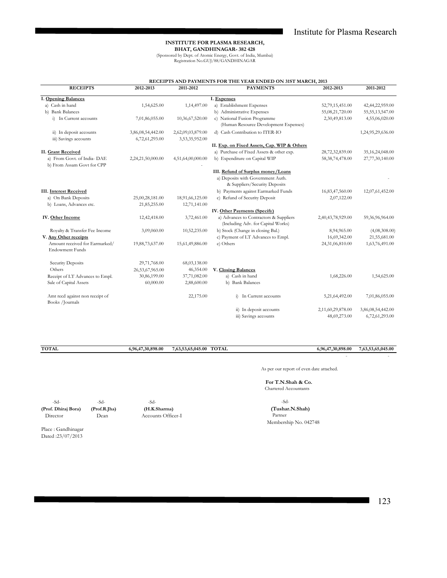(Sponsored by Dept. of Atomic Energy, Govt. of India, Mumbai) Registration No.GUJ/88/GANDHINAGAR

| <b>RECEIPTS</b>                                           | 2012-2013         | 2011-2012         | <b>RECEIPTS AND PAYMENTS FOR THE YEAR ENDED ON 31ST MARCH, 2013</b><br><b>PAYMENTS</b> | 2012-2013          | 2011-2012          |
|-----------------------------------------------------------|-------------------|-------------------|----------------------------------------------------------------------------------------|--------------------|--------------------|
| <b>I. Opening Balances</b>                                |                   |                   | I. Expenses                                                                            |                    |                    |
| a) Cash in hand                                           | 1,54,625.00       | 1,14,497.00       | a) Establishment Expenses                                                              | 52,79,15,451.00    | 42,44,22,959.00    |
| b) Bank Balances                                          |                   |                   | b) Administrative Expenses                                                             | 55,08,21,720.00    | 55, 55, 13, 547.00 |
| i) In Current accounts                                    | 7,01,86,055.00    | 10,36,67,520.00   | c) National Fusion Programme<br>(Human Resource Development Expenses)                  | 2,30,49,813.00     | 4,55,06,020.00     |
| ii) In deposit accounts                                   | 3,86,08,54,442.00 | 2,62,09,03,879.00 | d) Cash Contribution to ITER-IO                                                        |                    | 1,24,95,29,636.00  |
| iii) Savings accounts                                     | 6,72,61,293.00    | 3,53,35,952.00    |                                                                                        |                    |                    |
|                                                           |                   |                   | II. Exp. on Fixed Assets, Cap. WIP & Others                                            |                    |                    |
| <b>II.</b> Grant Received                                 |                   |                   | a) Purchase of Fixed Assets & other exp.                                               | 28,72,32,839.00    | 35,16,24,048.00    |
| a) From Govt. of India- DAE<br>b) From Assam Govt for CPP | 2,24,21,50,000.00 | 4,51,64,00,000.00 | b) Expenditure on Capital WIP                                                          | 58, 38, 74, 478.00 | 27,77,30,140.00    |
|                                                           |                   |                   | III. Refund of Surplus money/Loans                                                     |                    |                    |
|                                                           |                   |                   | a) Deposits with Government Auth.<br>& Suppliers/Security Deposits                     |                    |                    |
| <b>III.</b> Interest Received                             |                   |                   | b) Payments against Earmarked Funds                                                    | 16,83,47,560.00    | 12,07,61,452.00    |
| a) On Bank Deposits                                       | 25,00,28,181.00   | 18,91,66,125.00   | c) Refund of Security Deposit                                                          | 2,07,122.00        |                    |
| b) Loans, Advances etc.                                   | 21,85,255.00      | 12,71,141.00      |                                                                                        |                    |                    |
|                                                           |                   |                   | IV. Other Payments (Specify)                                                           |                    |                    |
| IV. Other Income                                          | 12,42,418.00      | 3,72,461.00       | a) Advances to Contractors & Suppliers<br>(Including Adv. for Capital Works)           | 2,40,43,78,929.00  | 59,36,96,964.00    |
| Royalty & Transfer Fee Income                             | 3,09,060.00       | 10,52,235.00      | b) Stock (Change in closing Bal.)                                                      | 8,94,965.00        | (4,08,308.00)      |
| V. Any Other receipts                                     |                   |                   | c) Payment of LT Advances to Empl.                                                     | 16,69,342.00       | 21,55,681.00       |
| Amount received for Earmarked/<br><b>Endowment Funds</b>  | 19,88,73,637.00   | 15,61,49,886.00   | e) Others                                                                              | 24,31,06,810.00    | 1,63,76,491.00     |
| Security Deposits                                         | 29,71,768.00      | 68,03,138.00      |                                                                                        |                    |                    |
| Others                                                    | 26,53,67,965.00   | 46,354.00         | V. Closing Balances                                                                    |                    |                    |
| Receipt of LT Advances to Empl.                           | 30,86,199.00      | 37,71,082.00      | a) Cash in hand                                                                        | 1,68,226.00        | 1,54,625.00        |
| Sale of Capital Assets                                    | 60,000.00         | 2,88,600.00       | b) Bank Balances                                                                       |                    |                    |
| Amt recd against non receipt of<br>Books /Journals        |                   | 22,175.00         | i) In Current accounts                                                                 | 5,21,64,492.00     | 7,01,86,055.00     |
|                                                           |                   |                   | ii) In deposit accounts                                                                | 2,11,60,29,878.00  | 3,86,08,54,442.00  |
|                                                           |                   |                   | iii) Savings accounts                                                                  | 48,69,273.00       | 6,72,61,293.00     |

**TOTAL 6,96,47,30,898.00 7,63,53,65,045.00 TOTAL 6,96,47,30,898.00 7,63,53,65,045.00**

- - - - - - - - - - - - - - - - - -

As per our report of even date attached.

 **For T.N.Shah & Co.** Chartered Accountants

-Sd-

-Sd- -Sd- -Sd-

Director Dean Accounts Officer-I

**(Prof. Dhiraj Bora) (Prof.R.Jha) (H.K.Sharma) (Tushar.N.Shah)** Membership No. 042748

Place : Gandhinagar Dated :23/07/2013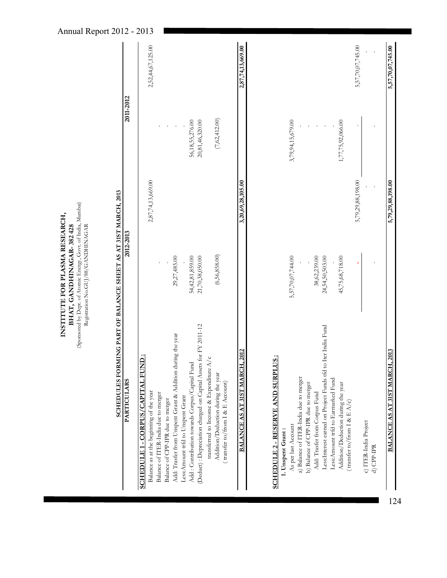| 5,57,70,07,745.00 |                   | 5,79,29,88,198.00 |                   | 2013<br>BALANCE AS AT 31ST MARCH                                |
|-------------------|-------------------|-------------------|-------------------|-----------------------------------------------------------------|
|                   |                   |                   |                   | d) CPP-IPR                                                      |
|                   |                   |                   |                   | c) ITER-India Project                                           |
| 5,57,70,07,745.00 |                   | 5,79,29,88,198.00 |                   |                                                                 |
|                   |                   |                   |                   | (transfer to/from I & E $A/c$ )                                 |
|                   | 1,77,75,92,066.00 |                   | 45,75,68,718.00   | Addition/Deduction during the year                              |
|                   |                   |                   |                   | Less:Amount trfd to Earmarked Fund                              |
|                   |                   |                   | 24,54,50,503.00   | Less:Interest earned on Project Funds tfd to Iter India Fund    |
|                   |                   |                   | 38,62,239.00      | Add: Trasfer from Corpus Fund                                   |
|                   |                   |                   |                   | b) Balance of CPP-IPR due to merger                             |
|                   |                   |                   |                   | a) Balance of ITER-India due to merger                          |
|                   | 3,79,94,15,679.00 |                   | 5,57,70,07,744.00 | As per last Account                                             |
|                   |                   |                   |                   | 1. Unspent Grant:                                               |
|                   |                   |                   |                   | <u>is:</u><br><b>SCHEDULE 2 - RESERVE AND SURPLU</b>            |
|                   |                   |                   |                   |                                                                 |
| 2,87,74,13,669.00 |                   | 3,20,69,28,105.00 |                   | 2012<br>BALANCE AS AT 31ST MARCH                                |
|                   |                   |                   |                   | (transfer to/from I & E Account)                                |
|                   | (7,62,412.00)     |                   | (6,56,858.00)     | Addition/Deduction during the year                              |
|                   |                   |                   |                   | transferred to Income & Expenditure A/c                         |
|                   | 20,81,46,320.00   |                   | 21,70,38,050.00   | (Deduct): Depreciation charged on Capital Assets for FY 2011-12 |
|                   | 56,18,55,276.00   |                   | 54,42,81,859.00   | Add: Contribution towards Corpus/Capital Func                   |
|                   |                   |                   |                   | Less:Amount trfd to Unspent Grant                               |
|                   | $\mathbf{I}$      |                   | 29,27,485.00      | Add: Trasfer from Unspent Grant & Addition during the year      |
|                   | $\mathbf{I}$      |                   |                   | Balance of CPP-IPR due to merger                                |
|                   |                   |                   |                   | Balance of ITER-India due to merger                             |
| 2,52,44,67,125.00 |                   | 2,87,74,13,669.00 |                   | Balance as at the beginning of the year                         |
|                   |                   |                   |                   | $\ddot{\mathbf{a}}$<br>SCHEDULE 1 - CORPUS/CAPITAL FUN          |
|                   | 2011-2012         |                   | 2012-2013         | <b>PARTICULARS</b>                                              |
|                   |                   |                   |                   | SCHEDULES FORMING PART OF BALANCE SHEET AS AT 31ST MARCH, 2013  |
|                   |                   |                   |                   |                                                                 |
|                   |                   |                   |                   |                                                                 |

INSTITUTE FOR PLASMA RESEARCH,<br>BHAT, GANDHINAGAR- 382 428<br>(Sponsored by Dept. of Atomic Energy, Govt. of India, Mumbai)<br>Registration No.GUJ/88/GANDHINAGAR **INSTITUTE FOR PLASMA RESEARCH, BHAT, GANDHINAGAR- 382 428**

(Sponsored by Dept. of Atomic Energy, Govt. of India, Mumbai) Registration No.GUJ/88/GANDHINAGAR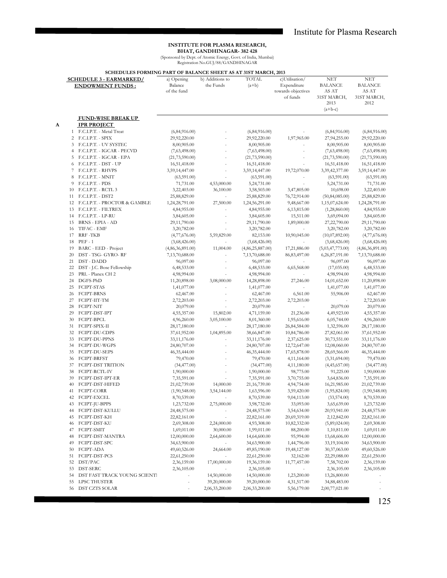**BHAT, GANDHINAGAR- 382 428** (Sponsored by Dept. of Atomic Energy, Govt. of India, Mumbai) Registration No.GUJ/88/GANDHINAGAR

#### **SCHEDULES FORMING PART OF BALANCE SHEET AS AT 31ST MARCH, 2013**

|   |                | <b>SCHEDULE 3 - EARMARKED/</b><br><b>ENDOWMENT FUNDS:</b> | a) Opening<br>Balance<br>of the fund | b) Additions to<br>the Funds | TOTAL<br>$(a+b)$            | c)Utilisation/<br>Expenditure<br>towards objectives<br>of funds | <b>NET</b><br><b>BALANCE</b><br>AS AT<br>31ST MARCH,<br>2013<br>$(a+b-c)$ | NET<br><b>BALANCE</b><br>AS AT<br>31ST MARCH,<br>2012 |
|---|----------------|-----------------------------------------------------------|--------------------------------------|------------------------------|-----------------------------|-----------------------------------------------------------------|---------------------------------------------------------------------------|-------------------------------------------------------|
|   |                | <b>FUND-WISE BREAK UP</b>                                 |                                      |                              |                             |                                                                 |                                                                           |                                                       |
| A |                | <b>IPR PROJECT</b>                                        |                                      |                              |                             |                                                                 |                                                                           |                                                       |
|   |                | 1 F.C.I.P.T. - Metal Treat                                | (6,84,916.00)                        |                              | (6,84,916.00)               |                                                                 | (6,84,916.00)                                                             | (6, 84, 916.00)                                       |
|   | 2              | F.C.I.P.T. - SPIX                                         | 29,92,220.00                         |                              | 29,92,220.00                | 1,97,965.00                                                     | 27,94,255.00                                                              | 29,92,220.00                                          |
|   | 3              | F.C.I.P.T. - UV SYSTEC                                    | 8,00,905.00                          | ä,                           | 8,00,905.00                 |                                                                 | 8,00,905.00                                                               | 8,00,905.00                                           |
|   | $\overline{4}$ | F.C.I.P.T. - IGCAR - PECVD                                | (7,63,498.00)                        |                              | (7,63,498.00)               |                                                                 | (7,63,498.00)                                                             | (7,63,498.00)                                         |
|   | 5              | F.C.I.P.T. - IGCAR - EPA                                  | (21, 73, 590.00)                     | ÷,                           | (21, 73, 590.00)            | ÷,                                                              | (21, 73, 590.00)                                                          | (21, 73, 590.00)                                      |
|   | 6              | F.C.I.P.T. - DST - UP                                     | 16,51,418.00                         |                              | 16,51,418.00                |                                                                 | 16,51,418.00                                                              | 16,51,418.00                                          |
|   | 7              | F.C.I.P.T. - RHVPS                                        | 3,59,14,447.00                       | $\bar{a}$                    | 3,59,14,447.00              | 19,72,070.00                                                    | 3,39,42,377.00                                                            | 3,59,14,447.00                                        |
|   | 8<br>9         | F.C.I.P.T. - MNIT<br>F.C.I.P.T. - PDS                     | (63,591.00)                          | ÷,                           | (63,591.00)                 |                                                                 | (63, 591.00)                                                              | (63,591.00)                                           |
|   |                | F.C.I.P.T. - RCTL 3                                       | 71,731.00                            | 4,53,000.00                  | 5,24,731.00                 |                                                                 | 5,24,731.00                                                               | 71,731.00                                             |
|   | 10<br>11       | F.C.I.P.T. - DST2                                         | 3,22,403.00<br>25,88,829.00          | 36,100.00                    | 3,58,503.00<br>25,88,829.00 | 3,47,805.00<br>76,72,914.00                                     | 10,698.00<br>(50, 84, 085.00)                                             | 3,22,403.00<br>25,88,829.00                           |
|   | 12             | F.C.I.P.T. - PROCTOR & GAMBLE                             | 1,24,28,791.00                       | 27,500.00                    | 1,24,56,291.00              | 9,48,667.00                                                     | 1,15,07,624.00                                                            | 1,24,28,791.00                                        |
|   | 13             | F.C.I.P.T. - FILTREX                                      | 4,84,955.00                          | ÷,                           | 4,84,955.00                 | 6,13,815.00                                                     | (1,28,860.00)                                                             | 4,84,955.00                                           |
|   | 14             | F.C.I.P.T. - LP-RU                                        | 3,84,605.00                          |                              | 3,84,605.00                 | 15,511.00                                                       | 3,69,094.00                                                               | 3,84,605.00                                           |
|   | 15             | <b>BRNS - EPIA - AD</b>                                   | 29,11,790.00                         |                              | 29,11,790.00                | 1,89,000.00                                                     | 27,22,790.00                                                              | 29,11,790.00                                          |
|   | 16             | TIFAC - EMF                                               | 3,20,782.00                          | ÷,                           | 3,20,782.00                 |                                                                 | 3,20,782.00                                                               | 3,20,782.00                                           |
|   | 17             | <b>RRF-TKB</b>                                            | (4,77,676.00)                        | 5,59,829.00                  | 82,153.00                   | 10,90,045.00                                                    | (10,07,892.00)                                                            | (4,77,676.00)                                         |
|   | 18             | $PEF - 1$                                                 | (3,68,426.00)                        |                              | (3,68,426.00)               |                                                                 | (3,68,426.00)                                                             | (3,68,426.00)                                         |
|   | 19             | BARC - EED - Project                                      | (4,86,36,891.00)                     | 11,004.00                    | (4,86,25,887.00)            | 17,21,886.00                                                    | (5,03,47,773.00)                                                          | (4,86,36,891.00)                                      |
|   | 20             | DST - TSG- GYRO-RF                                        | 7,13,70,688.00                       |                              | 7,13,70,688.00              | 86, 83, 497.00                                                  | 6,26,87,191.00                                                            | 7,13,70,688.00                                        |
|   | 21             | DST - DADD                                                | 96,097.00                            |                              | 96,097.00                   |                                                                 | 96,097.00                                                                 | 96,097.00                                             |
|   | 22             | DST - J.C. Bose Fellowship                                | 6,48,533.00                          | ÷,                           | 6,48,533.00                 | 6,65,568.00                                                     | (17,035.00)                                                               | 6,48,533.00                                           |
|   | 23             | PRL - Planex CH 2                                         | 4,98,994.00                          |                              | 4,98,994.00                 |                                                                 | 4,98,994.00                                                               | 4,98,994.00                                           |
|   | 24             | DGFS-PhD                                                  | 11,20,898.00                         | 3,08,000.00                  | 14,28,898.00                | 27,246.00                                                       | 14,01,652.00                                                              | 11,20,898.00                                          |
|   | 25             | FCIPT-STAS                                                | 1,41,077.00                          | ÷,                           | 1,41,077.00                 | ÷.                                                              | 1,41,077.00                                                               | 1,41,077.00                                           |
|   | 26             | FCIPT-BRNS                                                | 62,467.00                            |                              | 62,467.00                   | 6,561.00                                                        | 55,906.00                                                                 | 62,467.00                                             |
|   | 27             | FCIPT-IIT-TM                                              | 2,72,203.00                          |                              | 2,72,203.00                 | 2,72,203.00                                                     |                                                                           | 2,72,203.00                                           |
|   | 28             | FCIPT-NIT                                                 | 20,079.00                            |                              | 20,079.00                   |                                                                 | 20,079.00                                                                 | 20,079.00                                             |
|   | 29             | FCIPT-DST-IPT                                             | 4,55,357.00                          | 15,802.00                    | 4,71,159.00                 | 21,236.00                                                       | 4,49,923.00                                                               | 4,55,357.00                                           |
|   | 30             | FCIPT-BPCL                                                | 4,96,260.00                          | 3,05,100.00                  | 8,01,360.00                 | 1,95,616.00                                                     | 6,05,744.00                                                               | 4,96,260.00                                           |
|   | 31             | FCIPT-SPIX-II                                             | 28,17,180.00                         |                              | 28,17,180.00                | 26,84,584.00                                                    | 1,32,596.00                                                               | 28, 17, 180.00                                        |
|   | 32             | FCIPT-DU-CDPS                                             | 37,61,952.00                         | 1,04,895.00                  | 38,66,847.00                | 10,84,786.00                                                    | 27,82,061.00                                                              | 37,61,952.00                                          |
|   | 33             | FCIPT-DU-PPNS                                             | 33,11,176.00                         | ä,                           | 33,11,176.00                | 2,37,625.00                                                     | 30,73,551.00                                                              | 33, 11, 176.00                                        |
|   | 34             | FCIPT-DU-WGPS                                             | 24,80,707.00                         | ÷,                           | 24,80,707.00                | 12,72,647.00                                                    | 12,08,060.00                                                              | 24,80,707.00                                          |
|   | 35             | FCIPT-DU-SEPS                                             | 46, 35, 444. 00                      |                              | 46, 35, 444. 00             | 17,65,878.00                                                    | 28,69,566.00                                                              | 46, 35, 444. 00                                       |
|   | 36             | FCIPT-BRFST                                               | 79,470.00                            |                              | 79,470.00                   | 4,11,164.00                                                     | (3,31,694.00)                                                             | 79,470.00                                             |
|   | 37             | FCIPT-DST TRITION                                         | (34, 477.00)                         |                              | (34, 477.00)                | 4,11,180.00                                                     | (4,45,657.00)                                                             | (34, 477.00)                                          |
|   | 38             | FCIPT-RCTL-IV                                             | 1,90,000.00                          | $\overline{a}$               | 1,90,000.00                 | 98,775.00                                                       | 91,225.00                                                                 | 1,90,000.00                                           |
|   | 39             | FCIPT-DST-IPT-ER                                          | 7,35,591.00                          | ÷,                           | 7,35,591.00                 | 3,70,755.00                                                     | 3,64,836.00                                                               | 7,35,591.00                                           |
|   | 40             | FCIPT-DST-HIFED                                           | 21,02,739.00                         | 14,000.00                    | 21,16,739.00                | 4,94,754.00                                                     | 16,21,985.00                                                              | 21,02,739.00                                          |
|   | 41             | FCIPT-CORR                                                | (1,90,548.00)                        | 3,54,144.00                  | 1,63,596.00                 | 3,59,420.00                                                     | (1,95,824.00)                                                             | (1,90,548.00)                                         |
|   | 42             | FCIPT-EXCEL                                               | 8,70,539.00                          | $\Box$                       | 8,70,539.00                 | 9,04,113.00                                                     | (33,574.00)                                                               | 8,70,539.00                                           |
|   | 43             | FCIPT-JU-BPPS                                             | 1,23,732.00                          | 2,75,000.00                  | 3,98,732.00                 | 33,093.00                                                       | 3,65,639.00                                                               | 1,23,732.00                                           |
|   |                | 44 FCIPT-DST-KULLU                                        | 24,48,575.00                         |                              | 24,48,575.00                | 3,54,634.00                                                     | 20,93,941.00                                                              | 24,48,575.00                                          |
|   | 45             | FCIPT-DST-KH<br>FCIPT-DST-KU                              | 22,82,161.00<br>2,69,308.00          | $\sim$                       | 22,82,161.00<br>4,93,308.00 | 20,69,319.00<br>10,82,332.00                                    | 2,12,842.00<br>(5,89,024.00)                                              | 22,82,161.00<br>2,69,308.00                           |
|   | 46<br>47       | FCIPT-SMIT                                                | 1,69,011.00                          | 2,24,000.00<br>30,000.00     | 1,99,011.00                 | 88,200.00                                                       | 1,10,811.00                                                               | 1,69,011.00                                           |
|   | 48             | FCIPT-DST-MANTRA                                          | 12,00,000.00                         | 2,64,600.00                  | 14,64,600.00                | 95,994.00                                                       | 13,68,606.00                                                              | 12,00,000.00                                          |
|   | 49             | FCIPT-DST-SPC                                             | 34,63,900.00                         | ÷.                           | 34,63,900.00                | 1,44,796.00                                                     | 33,19,104.00                                                              | 34,63,900.00                                          |
|   | 50             | FCIPT-ADA                                                 | 49,60,526.00                         | 24,664.00                    | 49,85,190.00                | 19,48,127.00                                                    | 30,37,063.00                                                              | 49,60,526.00                                          |
|   | 51             | FCIPT-DST-PCS                                             | 22,61,250.00                         |                              | 22,61,250.00                | 32,162.00                                                       | 22,29,088.00                                                              | 22,61,250.00                                          |
|   | 52             | DST/PAC                                                   | 2,36,159.00                          | 17,00,000.00                 | 19,36,159.00                | 11,77,457.00                                                    | 7,58,702.00                                                               | 2,36,159.00                                           |
|   | 53             | DST-SERC                                                  | 2,36,105.00                          |                              | 2,36,105.00                 | $\sim$                                                          | 2,36,105.00                                                               | 2,36,105.00                                           |
|   | 54             | DST FAST TRACK YOUNG SCIENTI                              | ä,                                   | 14,50,000.00                 | 14,50,000.00                | 1,23,200.00                                                     | 13,26,800.00                                                              |                                                       |
|   | 55             | <b>LPSC THUSTER</b>                                       | $\frac{1}{2}$                        | 39,20,000.00                 | 39,20,000.00                | 4,31,517.00                                                     | 34,88,483.00                                                              |                                                       |
|   | 56             | <b>DST CZTS SOLAR</b>                                     | ÷,                                   | 2,06,33,200.00               | 2,06,33,200.00              | 5,56,179.00                                                     | 2,00,77,021.00                                                            |                                                       |
|   |                |                                                           |                                      |                              |                             |                                                                 |                                                                           |                                                       |
|   |                |                                                           |                                      |                              |                             |                                                                 |                                                                           | 12                                                    |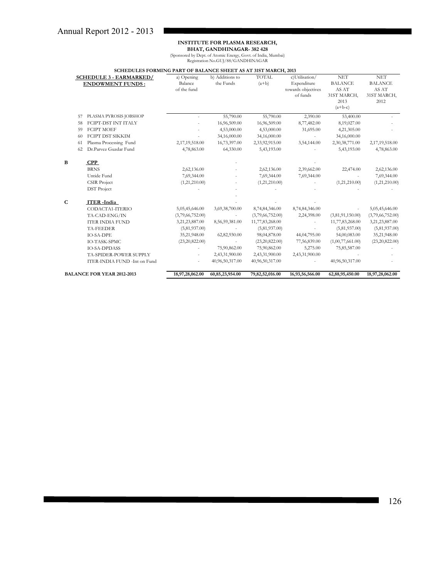(Sponsored by Dept. of Atomic Energy, Govt. of India, Mumbai)

Registration No.GUJ/88/GANDHINAGAR

#### a) Opening Balance of the fund b) Additions to the Funds TOTAL  $(a+b)$  c)Utilisation/ Expenditure towards objectives of funds NET BALANCE AS AT 31ST MARCH, 2013  $(a+b-c)$  NET BALANCE AS AT 31ST MARCH, 2012 **SCHEDULES FORMING PART OF BALANCE SHEET AS AT 31ST MARCH, 2013 SCHEDULE 3 - EARMARKED/ ENDOWMENT FUNDS :** 57 PLASMA PYROSIS JOBSHOP - 55,790.00 55,790.00 55,790.00 53,400.00 58 FCIPT-DST INT ITALY - 16,96,509.00 16,96,509.00 8,77,482.00 8,19,027.00 59 FCIPT MOEF - 4,53,000.00 4,53,000.00 31,695.00 4,21,305.00 60 FCIPT DST SIKKIM - 34,16,000.00 34,16,000.00 - 34,16,000.00 61 Plasma Processing Fund 2,17,19,518.00 16,73,397.00 2,33,92,915.00 3,54,144.00 2,30,38,771.00 2,17,19,518.00 62 Dr.Parvez Guzdar Fund 4,78,863.00 64,330.00 5,43,193.00 - 5,43,193.00 4,78,863.00 **B** CPP **CPP** BRNS 2,62,136.00 - 2,62,136.00 2,39,662.00 2,474.00 2,62,136.00 Untide Fund 7,69,344.00 - 7,69,344.00 7,69,344.00 - 7,69,344.00 CSIR Project (1,21,210.00) - (1,21,210.00) - (1,21,210.00) (1,21,210.00) DST Project - - - - - - - 1990 - 1990 - 1991<br>1991 - 1992 - 1992 - 1992 - 1992 - 1992 - 1992 - 1992 - 1992 - 1992 - 1992 - 1992 - 1992 - 1992 - 1992 - 1992<br>1992 - 1992 - 1992 - 1992 - 1992 - 1992 - 1992 - 1992 - 1992 - 1992 - 1992 - 1992 - 1992 - **C ITER -India**<br> **CODACTA1-ITERIO** 5.05.45.646.00 3.69.38.700.00 8.74.84.346.00 8.74.84.346.00 CODACTA1-ITERIO 5,05,45,646.00 3,69,38,700.00 8,74,84,346.00 8,74,84,346.00 - 5,05,45,646.00  $\text{TFA-CAD-ENG/IN} \begin{array}{cccc} (3,79,66,752.00) & & & & & (3,79,66,752.00) & & & & & (3,79,66,752.00) \\ 3,21,23,887.00 & 8,56,59,381.00 & 11,77,83,268.00 & & & & & 11,77,83,268.00 & & & 3,21,23,887.00 \\ \end{array}$ 11,77,83,268.00 11,77,83,268.00 11,77,83,268.00 11,77,83,268.00 11,77,83,268.00 TA-FEEDER (5,81,937.00) (5,81,937.00) (5,81,937.00) TA-FEEDER (5,81,937.00) (5,81,937.00) (5,81,937.00) (5,81,937.00) (5,81,937.00) IO-SA-DPE 35,21,948.00 62,82,930.00 98,04,878.00 44,04,795.00 54,00,083.00 35,21,948.00 IO-TASK-SPMC (23,20,822.00) - (23,20,822.00) 77,56,839.00 (1,00,77,661.00) (23,20,822.00) IO-SA-DPDASS - 75,90,862.00 75,90,862.00 75,90,862.00 75,90,862.00 75,85,587.00 - TA-SPIDER-POWER SUPPLY TA-SPIDER-POWER SUPPLY - 2,43,31,900.00 2,43,31,900.00 2,43,31,900.00 - - - - - -ITER-INDIA FUND -Int on Fund - 40,96,50,317.00 40,96,50,317.00 - 40,96,50,317.00 -

**BALANCE FOR YEAR 2012-2013 18,97,28,062.00 60,85,23,954.00 79,82,52,016.00 16,93,56,566.00 62,88,95,450.00 18,97,28,062.00**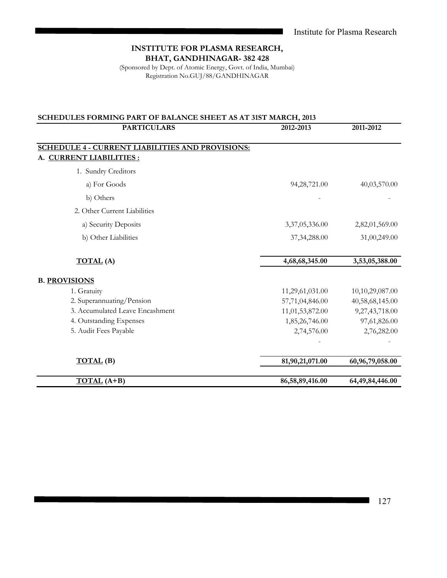(Sponsored by Dept. of Atomic Energy, Govt. of India, Mumbai) Registration No.GUJ/88/GANDHINAGAR

| <b>PARTICULARS</b>                                      | 2012-2013       | 2011-2012       |
|---------------------------------------------------------|-----------------|-----------------|
| <b>SCHEDULE 4 - CURRENT LIABILITIES AND PROVISIONS:</b> |                 |                 |
| A. CURRENT LIABILITIES:                                 |                 |                 |
| 1. Sundry Creditors                                     |                 |                 |
| a) For Goods                                            | 94,28,721.00    | 40,03,570.00    |
| b) Others                                               |                 |                 |
| 2. Other Current Liabilities                            |                 |                 |
| a) Security Deposits                                    | 3,37,05,336.00  | 2,82,01,569.00  |
| b) Other Liabilities                                    | 37, 34, 288.00  | 31,00,249.00    |
| <b>TOTAL</b> (A)                                        | 4,68,68,345.00  | 3,53,05,388.00  |
| <b>B. PROVISIONS</b>                                    |                 |                 |
| 1. Gratuity                                             | 11,29,61,031.00 | 10,10,29,087.00 |
| 2. Superannuating/Pension                               | 57,71,04,846.00 | 40,58,68,145.00 |
| 3. Accumulated Leave Encashment                         | 11,01,53,872.00 | 9,27,43,718.00  |
| 4. Outstanding Expenses                                 | 1,85,26,746.00  | 97,61,826.00    |
| 5. Audit Fees Payable                                   | 2,74,576.00     | 2,76,282.00     |
|                                                         |                 |                 |
| $TOTAL$ $(B)$                                           | 81,90,21,071.00 | 60,96,79,058.00 |
| $TOTAL (A+B)$                                           | 86,58,89,416.00 | 64,49,84,446.00 |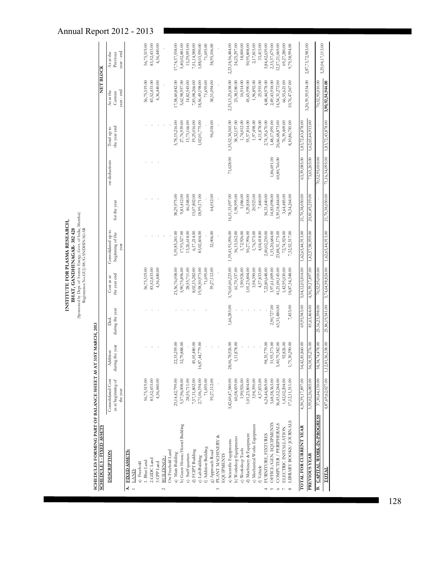# INSTITUTE FOR PLASMA RESEARCH,<br>BHAT, GANDHINAGAR - 382 428<br>Sponsered by Dept. of Atomic Energy, Govt. of India, Mumbai)<br>Registration No.GUJ/88/GANDHINAGAR (Sponsored by Dept. of Atomic Energy, Govt. of India, Mumbai) **INSTITUTE FOR PLASMA RESEARCH, BHAT, GANDHINAGAR- 382 428** Registration No.GUJ/88/GANDHINAGAR

SCHEDULES FORMING PART OF BALANCE SHEET AS AT 31ST MARCH, 2013 **SCHEDULES FORMING PART OF BALANCE SHEET AS AT 31ST MARCH, 2013** 

| SCHEDULE 5 - FIXED ASSETS      |                                                     |                             |                         |                            |                                                |                 |               |                             | NET BLOCK                          |                                     |
|--------------------------------|-----------------------------------------------------|-----------------------------|-------------------------|----------------------------|------------------------------------------------|-----------------|---------------|-----------------------------|------------------------------------|-------------------------------------|
| DESCRIPTION                    | as at beginning of<br>Consolidated Cost<br>the year | during the year<br>Addition | during the year<br>Ded. | the year end<br>Cost as at | Consolidated up to<br>beginning of the<br>year | for the year    | on deductions | the year end<br>Total up to | year - end<br>As at the<br>Current | year - end<br>As at the<br>Previous |
| A. FIXED ASSETS                |                                                     |                             |                         |                            |                                                |                 |               |                             |                                    |                                     |
| GNND:                          |                                                     |                             |                         |                            |                                                |                 |               |                             |                                    |                                     |
| a) Freehold                    |                                                     |                             |                         |                            |                                                |                 |               |                             |                                    |                                     |
| 1. Bhat Land                   | 56,75,519.00                                        |                             |                         | 56,75,519.00               |                                                |                 |               |                             | 56,75,519.00                       | 56,75,519.00                        |
| 2.GIDC Land                    | 83,52,433.00                                        |                             |                         | 83,52,433.00               |                                                |                 |               |                             | 83,52,433.00                       | 83,52,433.00                        |
| 3.CPP Land                     | 4,36,440.00                                         |                             |                         | 4,36,440.00                |                                                |                 |               |                             | 4,36,440.00                        | 4,36,440.00                         |
| <b>BUILDINGS</b><br>$\sim$     |                                                     |                             |                         |                            |                                                |                 |               |                             |                                    |                                     |
| On Freehold Land               |                                                     |                             |                         |                            |                                                |                 |               |                             |                                    |                                     |
| a) Main Building               | 23,14,42,799.00                                     | 22,33,259.00                |                         | 23,36,76,058.00            | 5,39,85,241.00                                 | 38,29,975.00    |               | 5,78,15,216.00              | 7,58,60,842.00                     | 7,74,57,558.00                      |
| b) Guest House/Hostel Building | 5,57,96,008.00                                      | 32,79,888.00                |                         | 5,90,75,896.00             | 17,93,527.00                                   | 9,83,412.00     |               | 27,76,939.00                | 5,62,98,957.00                     | 5,40,02,481.00                      |
| c) Staff quarters              | 28,55,711.00                                        |                             |                         | 28,55,711.00               | 13,26,618.00                                   | 46,548.00       |               | 13,73,166.00                | 14,82,545.00                       | 15,29,093.00                        |
| d) FCIPT Building              | 7,57,31,802.00                                      | 45,01,480.00                |                         | 8,02,33,282.00             | 6,17,214.00                                    | 13,07,802.00    |               | 19,25,016.00                | 7,83,08,266.00                     | 7,51,14,588.00                      |
| e) Lab.Building                | 2,71,06,194.00                                      | 16,87,44,779.00             |                         | 19,58,50,973.00            | 83,02,604.00                                   | 18,99,171.00    |               | ,02,01,775.00               | 18,56,49,198.00                    | ,88,03,590.00                       |
| f) Addition Building           | 71,695.00                                           |                             |                         | 71,695.00                  |                                                |                 |               |                             | 71,695.00                          | 71,695.00                           |
| g) Approach Road               | 39,27,112.00                                        |                             |                         | 39,27,112.00               | 32,006.00                                      | 64,012.00       |               | 96,018.00                   | 38,31,094.00                       | 38,95,106.00                        |
| PLANT MACHINERY &<br>S         |                                                     |                             |                         |                            |                                                |                 |               |                             |                                    |                                     |
| <b>EQUIPMENTS</b>              |                                                     |                             |                         |                            |                                                |                 |               |                             |                                    |                                     |
| a) Scientific Equipments       | 3,42,60,47,580.00                                   | 28,06,78,926.00             | 1,66,283.00             | 3,70,65,60,223.00          | 1,19,41,91,096.00                              | 16,11,15,097.00 | 71,628.00     | 1,35,52,34,565.00           | 2,35,13,25,658.00                  | 2,23,18,56,484.00                   |
| b) Workshop Equipments         | 60,58,459.00                                        | 1,11,878.00                 |                         | 61,70,337.00               | 36,33,162.00                                   | 1,98,995.00     |               | 38,32,157.00                | 23,38,180.00                       | 24,25,297.00                        |
| c) Workshop Tools              | 1,90,926.00                                         |                             |                         | 1,90,926.00                | 1,72,926.00                                    | 1,086.00        |               | 1,74,012.00                 | 16,914.00                          | 18,000.00                           |
| d) Machinery & Equipment       | 1,01,23,804.00                                      |                             |                         | 1,01,23,804.00             | 50,27,996.00                                   | 5,29,818.00     |               | 55,57,814.00                | 45,65,990.00                       | 50,95,808.00                        |
| e) Mechanical Works Equipment  | 3,94,390.00                                         |                             |                         | 3,94,390.00                | 1,76,575.00                                    | 20,923.00       |               | 1,97,498.00                 | 1,96,892.00                        | 2,17,815.00                         |
| f) Vehicle                     | 4,37,833.00                                         |                             |                         | 4,37,833.00                | 4,04,418.00                                    | 7,460.00        |               | 4,11,878.00                 | 25,955.00                          | 33,415.00                           |
| FURNITURE, FIXTURES            | 6,24,44,869.00                                      | 98,35,779.00                |                         | 7,22,80,648.00             | 2,40,02,230.00                                 | 34,33,440.00    |               | 2,74,35,670.00              | 4,48,44,978.00                     | 3,84,42,639.00                      |
| OFFICE/GEN. EQUIPMENTS         | 3,68,58,363.00                                      | 31,93,373.00                | 2,90,727.00             | 3,97,61,009.00             | 1,35,20,684.00                                 | 14,83,098.00    | 1,86,691.00   | 1,48,17,091.00              | 2,49,43,918.00                     | 2,33,37,679.00                      |
| COMPUTER / PERIPHERALS         | 36,45,52,244.00                                     | 5,40,79,382.00              | 65,31,480.00            | 11,21,00,145.00            | 23,88,31,175.00                                | 3,39,18,464.00  | 60,80,766.00  | 26,66,68,873.00             | 4,54,31,272.00                     | 2,57,21,069.00                      |
| ELECTRIC INSTALLATION          | 1,42,02,204.00                                      | 92,826.00                   |                         | 1,42,95,030.00             | 72,74,924.00                                   | 3,64,485.00     |               | 76,39,409.00                | 66,55,621.00                       | 69,27,280.00                        |
| LIBRARY BOOKS/ JOURNALS        | 17,12,11,511.00                                     | 75,30,290.00                | 7,453.00                | 8,87,34,348.00             | 7,32,52,517.00                                 | 78,34,264.00    |               | 8,10,86,781.00              | 10,76,47,567.00                    | 9,79,58,994.00                      |
| TOTAL FOR CURRENT YEAR         | 4,50,39,17,897.00                                   | 54,42,81,860.00             | 69,95,943.00            | 5,04,12,03,814.00          | 1,62,65,44,913.00                              | 21,70,38,050.00 | 63,39,085.00  | 1,83,72,43,878.00           |                                    |                                     |
| PREVIOUS YEAR                  | 3,95,02,26,085.00                                   | 56,18,55,276.00             | 81,63,464.00            | 4,50,39,17,897.00          | 1,42,57,58,959.00                              | 20,81,49,219.00 | 73,63,265.00  | 1,62,65,44,913.00           | 3,20,39,59,934.00                  | 2,87,73,72,983.00                   |

**B. CAPITAL WORK-IN-PROGRESS** 37,30,44,130.00 58,38,74,478.00 25,16,23,598.00 70,52,95,010.00 - 70,52,95,010.00 - 70,52,95,010.00 **TOTAL** 4,87,69,62,027.00 1,12,81,56,338.00 25,86,19,541.00 5,74,64,98,824.00 1,62,65,44,913.00 21,70,38,050.00 71,16,34,095.00 1,83,72,43,878.00 **3,90,92,54,944.00**

58,38,74,478.00 1,12,81,56,338.00

37,30,44,130.00 4,87,69,62,027.00

**B. CAPITAL WORK-IN-PROGRESS** 

TOTAL

3,25,04,17,113.00

 $70,52,95,01000$   $3,90,92,54,944,00$   $3,90,92,54,944,00$   $3,25,04,17,113,00$ 70,52,95,010.00

71,16,34,095.00 70,52,95,010.00

21,70,38,050.00

1,62,65,44,913.00

5,74,64,98,824.00 70,52,95,010.00

25,86,19,541.00 25,16,23,598.00

## Annual Report 2012 - 2013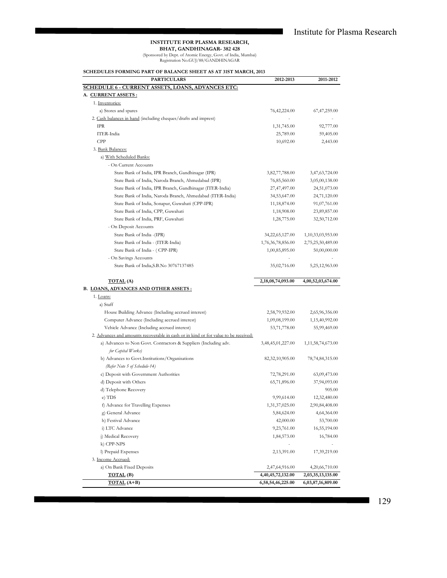**BHAT, GANDHINAGAR- 382 428** (Sponsored by Dept. of Atomic Energy, Govt. of India, Mumbai) Registration No.GUJ/88/GANDHINAGAR

#### **SCHEDULES FORMING PART OF BALANCE SHEET AS AT 31ST MARCH, 2013**

| <b>PARTICULARS</b>                                                                  | 2012-2013         | 2011-2012         |
|-------------------------------------------------------------------------------------|-------------------|-------------------|
| <b>ASSETS, LOANS</b><br><b>SCHEDULE 6 - CURREN</b><br><b>ADVANCES ETC:</b>          |                   |                   |
| A. <u>CURRENT ASSETS :</u>                                                          |                   |                   |
| 1. Inventories:                                                                     |                   |                   |
| a) Stores and spares                                                                | 76,42,224.00      | 67,47,259.00      |
| 2. Cash balances in hand (including cheques/drafts and imprest)                     |                   |                   |
| <b>IPR</b>                                                                          | 1,31,745.00       | 92,777.00         |
| ITER-India                                                                          | 25,789.00         | 59,405.00         |
| <b>CPP</b>                                                                          | 10,692.00         | 2,443.00          |
| 3. Bank Balances:                                                                   |                   |                   |
| a) With Scheduled Banks:                                                            |                   |                   |
| - On Current Accounts                                                               |                   |                   |
| State Bank of India, IPR Branch, Gandhinagar (IPR)                                  | 3,82,77,788.00    | 3,47,63,724.00    |
| State Bank of India, Naroda Branch, Ahmedabad (IPR)                                 | 76,85,560.00      | 3,05,00,138.00    |
| State Bank of India, IPR Branch, Gandhinagar (ITER-India)                           | 27,47,497.00      | 24,51,073.00      |
| State Bank of India, Naroda Branch, Ahmedabad (ITER-India)                          | 34,53,647.00      | 24,71,120.00      |
| State Bank of India, Sonapur, Guwahati (CPP-IPR)                                    | 11,18,874.00      | 91,07,761.00      |
| State Bank of India, CPP, Guwahati                                                  | 1,18,908.00       | 23,89,857.00      |
| State Bank of India, PRF, Guwahati                                                  | 1,28,775.00       | 32,50,712.00      |
| - On Deposit Accounts                                                               |                   |                   |
| State Bank of India -(IPR)                                                          | 34,22,65,127.00   | 1,10,33,03,953.00 |
| State Bank of India - (ITER-India)                                                  | 1,76,36,78,856.00 | 2,75,25,50,489.00 |
| State Bank of India - (CPP-IPR)                                                     | 1,00,85,895.00    | 50,00,000.00      |
| - On Savings Accounts                                                               |                   |                   |
| State Bank of India, S.B. No 30767137485                                            | 35,02,716.00      | 5,25,12,963.00    |
|                                                                                     |                   |                   |
| <b>TOTAL</b> (A)                                                                    | 2,18,08,74,093.00 | 4,00,52,03,674.00 |
| <b>B. LOANS, ADVANCES AND OTHER ASSETS:</b>                                         |                   |                   |
| 1. Loans:                                                                           |                   |                   |
| a) Staff                                                                            |                   |                   |
| House Building Advance (Including accrued interest)                                 | 2,58,79,932.00    | 2,65,96,356.00    |
| Computer Advance (Including accrued interest)                                       | 1,09,08,199.00    | 1,15,40,992.00    |
| Vehicle Advance (Including accrued interest)                                        | 53,71,778.00      | 55,99,469.00      |
| 2. Advances and amounts recoverable in cash or in kind or for value to be received: |                   |                   |
| a) Advances to Non Govt. Contractors & Suppliers (Including adv.                    | 3,48,45,01,227.00 | 1,11,58,74,673.00 |
| for Capital Works)                                                                  |                   |                   |
| b) Advances to Govt.Institutions/Organisations                                      | 82,32,10,905.00   | 78,74,84,315.00   |
| (Refer Note 5 of Schedule-14)                                                       |                   |                   |
| c) Deposit with Government Authorities                                              | 72,78,291.00      | 63,09,473.00      |
| d) Deposit with Others                                                              | 65,71,896.00      | 37,94,093.00      |
| d) Telephone Recovery                                                               |                   | 905.00            |
| e) TDS                                                                              | 9,99,614.00       | 12,32,480.00      |
| f) Advance for Travelling Expenses                                                  | 1,31,37,025.00    | 2,90,84,408.00    |
| g) General Advance                                                                  | 5,84,624.00       | 4,64,364.00       |
| h) Festival Advance                                                                 | 42,000.00         | 53,700.00         |
| i) LTC Advance                                                                      | 9,23,761.00       | 16,55,194.00      |
| i) Medical Recovery                                                                 | 1,84,573.00       | 16,784.00         |
| k) CPP-NPS                                                                          |                   |                   |
| I) Prepaid Expenses                                                                 | 2,13,391.00       |                   |
| 3. Income Accrued:                                                                  |                   | 17,39,219.00      |
|                                                                                     |                   |                   |
| a) On Bank Fixed Deposits                                                           | 2,47,64,916.00    | 4,20,66,710.00    |
| <b>TOTAL</b> (B)                                                                    | 4,40,45,72,132.00 | 2,03,35,13,135.00 |
| TOTAL (A+B)                                                                         | 6,58,54,46,225.00 | 6,03,87,16,809.00 |

129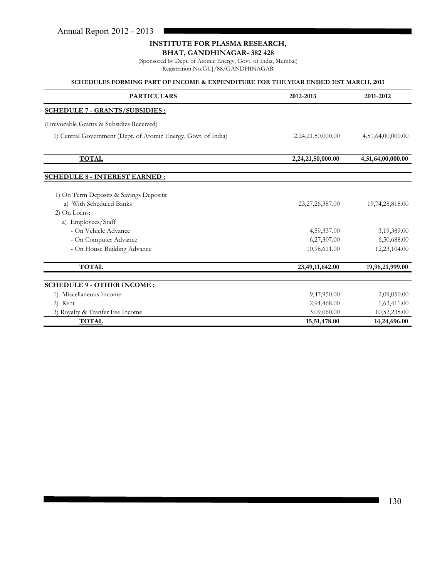ш

**BHAT, GANDHINAGAR- 382 428**

(Sponsored by Dept. of Atomic Energy, Govt. of India, Mumbai)

**SCHEDULES FORMING PART OF INCOME & EXPENDITURE FOR THE YEAR ENDED 31ST MARCH, 2013**

Registration No.GUJ/88/GANDHINAGAR

| <b>PARTICULARS</b>                                             | 2012-2013          | 2011-2012         |
|----------------------------------------------------------------|--------------------|-------------------|
| <b>SCHEDULE 7 - GRANTS/SUBSIDIES:</b>                          |                    |                   |
| (Irrevocable Grants & Subsidies Received)                      |                    |                   |
| 1) Central Government (Dept. of Atomic Energy, Govt. of India) | 2,24,21,50,000.00  | 4,51,64,00,000.00 |
| <b>TOTAL</b>                                                   | 2,24,21,50,000.00  | 4,51,64,00,000.00 |
| <b>SCHEDULE 8 - INTEREST EARNED:</b>                           |                    |                   |
| 1) On Term Deposits & Savings Deposits:                        |                    |                   |
| a) With Scheduled Banks                                        | 23, 27, 26, 387.00 | 19,74,28,818.00   |
| 2) On Loans:                                                   |                    |                   |
| a) Employees/Staff                                             |                    |                   |
| - On Vehicle Advance                                           | 4,59,337.00        | 3,19,389.00       |
| - On Computer Advance                                          | 6,27,307.00        | 6,50,688.00       |
| - On House Building Advance                                    | 10,98,611.00       | 12,23,104.00      |
| <b>TOTAL</b>                                                   | 23,49,11,642.00    | 19,96,21,999.00   |
| <b>SCHEDULE 9 - OTHER INCOME:</b>                              |                    |                   |
| 1) Miscellaneous Income                                        | 9,47,950.00        | 2,09,050.00       |
| 2) Rent                                                        | 2,94,468.00        | 1,63,411.00       |
| 3) Royalty & Tranfer Fee Income                                | 3,09,060.00        | 10,52,235.00      |
| <b>TOTAL</b>                                                   | 15,51,478.00       | 14,24,696.00      |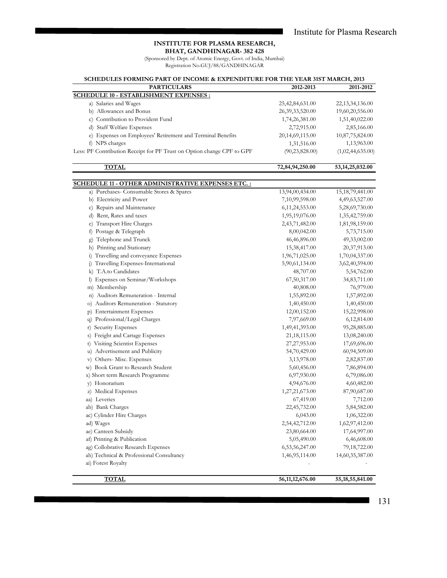(Sponsored by Dept. of Atomic Energy, Govt. of India, Mumbai) Registration No.GUJ/88/GANDHINAGAR

| SCHEDULES FORMING PART OF INCOME & EXPENDITURE FOR THE YEAR 31ST MARCH, 2013 |                    |                    |
|------------------------------------------------------------------------------|--------------------|--------------------|
| <b>PARTICULARS</b>                                                           | 2012-2013          | 2011-2012          |
| <b>SCHEDULE 10 - ESTABLISHMENT EXPENSES:</b>                                 |                    |                    |
| a) Salaries and Wages                                                        | 25,42,84,631.00    | 22, 13, 34, 136.00 |
| b) Allowances and Bonus                                                      | 26, 39, 33, 520.00 | 19,60,20,556.00    |
| c) Contribution to Provident Fund                                            | 1,74,26,381.00     | 1,51,40,022.00     |
| d) Staff Welfare Expenses                                                    | 2,72,915.00        | 2,85,166.00        |
| e) Expenses on Employees' Retirement and Terminal Benefits                   | 20, 14, 69, 115.00 | 10,87,75,824.00    |
| f) NPS charges                                                               | 1,31,516.00        | 1,13,963.00        |
| Less: PF Contribution Receipt for PF Trust on Option change CPF to GPF       | (90, 23, 828.00)   | (1,02,44,635.00)   |
| <b>TOTAL</b>                                                                 | 72,84,94,250.00    | 53, 14, 25, 032.00 |
| <b>SCHEDULE 11 - OTHER ADMINISTRATIVE EXPENSES ETC.:</b>                     |                    |                    |
| a) Purchases- Consumable Stores & Spares                                     | 13,94,00,434.00    | 15, 18, 79, 441.00 |
| b) Electricity and Power                                                     | 7,10,99,598.00     | 4,49,63,527.00     |
| c) Repairs and Maintenance                                                   | 6, 11, 24, 553. 00 | 5,28,69,730.00     |
| d) Rent, Rates and taxes                                                     | 1,95,19,076.00     | 1,35,42,759.00     |
| e) Transport Hire Charges                                                    | 2,43,71,482.00     | 1,81,98,159.00     |
| Postage & Telegraph<br>f)                                                    | 8,00,042.00        | 5,73,715.00        |
| g) Telephone and Trunck                                                      | 46, 46, 896. 00    | 49,33,002.00       |
| h) Printing and Stationary                                                   | 15,38,417.00       | 20,37,913.00       |
| i) Travelling and conveyance Expenses                                        | 1,96,71,025.00     | 1,70,04,337.00     |
| j) Travelling Expenses-International                                         | 5,90,61,134.00     | 3,62,40,594.00     |
| k) T.A.to Candidates                                                         | 48,707.00          | 5,54,762.00        |
| l) Expenses on Seminar/Workshops                                             | 67,50,317.00       | 34,83,711.00       |
| m) Membership                                                                | 40,808.00          | 76,979.00          |
| n) Auditors Remuneration - Internal                                          | 1,55,892.00        | 1,57,892.00        |
| o) Auditors Remuneration - Statutory                                         | 1,40,450.00        | 1,40,450.00        |
| p) Entertainment Expenses                                                    | 12,00,152.00       | 15,22,998.00       |
| q) Professional/Legal Charges                                                | 7,97,669.00        | 6, 12, 814.00      |
| r) Security Expenses                                                         | 1,49,41,393.00     | 95,28,885.00       |
| s) Freight and Cartage Expenses                                              | 21, 18, 115.00     | 13,08,240.00       |
| t) Visiting Scientist Expenses                                               | 27, 27, 953.00     | 17,69,696.00       |
| u) Advertisement and Publicity                                               | 54,70,429.00       | 60,94,509.00       |
| v) Others-Misc. Expenses                                                     | 3,13,978.00        |                    |
| w) Book Grant to Research Student                                            | 5,60,456.00        | 2,82,837.00        |
| x) Short term Research Programme                                             | 6,97,930.00        | 7,86,894.00        |
| y) Honorarium                                                                | 4,94,676.00        | 6,79,086.00        |
|                                                                              |                    | 4,60,482.00        |
| z) Medical Expenses                                                          | 1,27,21,673.00     | 87,90,687.00       |
| aa) Leveries                                                                 | 67,419.00          | 7,712.00           |
| ab) Bank Charges                                                             | 22,45,732.00       | 5,84,582.00        |
| ac) Cylinder Hire Charges                                                    | 6,043.00           | 1,06,322.00        |
| ad) Wages                                                                    | 2,54,42,712.00     | 1,62,97,412.00     |
| ae) Canteen Subsidy                                                          | 23,80,664.00       | 17,64,997.00       |
| af) Printing & Publication                                                   | 5,05,490.00        | 6,46,608.00        |
| ag) Collobrative Research Expenses                                           | 6,53,56,247.00     | 79, 18, 722.00     |
| ah) Technical & Professional Consultancy                                     | 1,46,95,114.00     | 14,60,35,387.00    |
| ai) Forest Royalty                                                           |                    |                    |

 **TOTAL 56,11,12,676.00 55,18,55,841.00**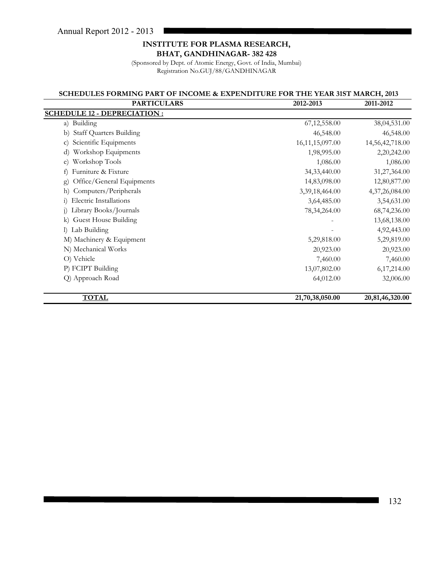(Sponsored by Dept. of Atomic Energy, Govt. of India, Mumbai) Registration No.GUJ/88/GANDHINAGAR

## **SCHEDULES FORMING PART OF INCOME & EXPENDITURE FOR THE YEAR 31ST MARCH, 2013**

| <b>PARTICULARS</b>                     | 2012-2013          | 2011-2012       |
|----------------------------------------|--------------------|-----------------|
| <b>SCHEDULE 12 - DEPRECIATION:</b>     |                    |                 |
| a) Building                            | 67, 12, 558.00     | 38,04,531.00    |
| <b>Staff Quarters Building</b><br>b)   | 46,548.00          | 46,548.00       |
| Scientific Equipments<br>$\mathbf{C}$  | 16, 11, 15, 097.00 | 14,56,42,718.00 |
| Workshop Equipments<br>d)              | 1,98,995.00        | 2,20,242.00     |
| Workshop Tools<br>e)                   | 1,086.00           | 1,086.00        |
| Furniture & Fixture<br>f)              | 34, 33, 440.00     | 31,27,364.00    |
| Office/General Equipments<br>$\bf g)$  | 14,83,098.00       | 12,80,877.00    |
| Computers/Peripherals<br>h)            | 3,39,18,464.00     | 4,37,26,084.00  |
| Electric Installations<br>$\ddot{i}$   | 3,64,485.00        | 3,54,631.00     |
| Library Books/Journals                 | 78, 34, 264. 00    | 68,74,236.00    |
| <b>Guest House Building</b><br>$\bf k$ |                    | 13,68,138.00    |
| l) Lab Building                        |                    | 4,92,443.00     |
| M) Machinery & Equipment               | 5,29,818.00        | 5,29,819.00     |
| N) Mechanical Works                    | 20,923.00          | 20,923.00       |
| O) Vehicle                             | 7,460.00           | 7,460.00        |
| P) FCIPT Building                      | 13,07,802.00       | 6,17,214.00     |
| Q) Approach Road                       | 64,012.00          | 32,006.00       |
| <b>TOTAL</b>                           | 21,70,38,050.00    | 20,81,46,320.00 |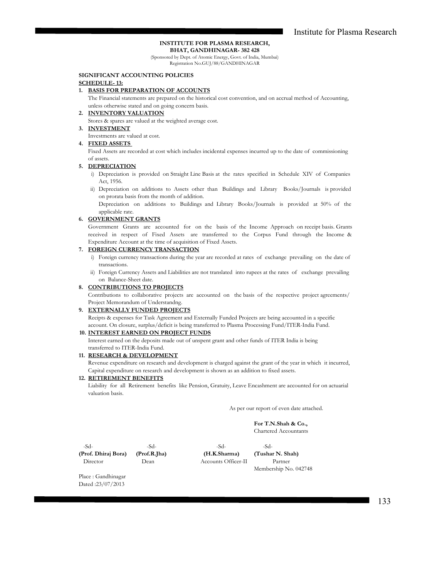**BHAT, GANDHINAGAR- 382 428** (Sponsored by Dept. of Atomic Energy, Govt. of India, Mumbai)

Registration No.GUJ/88/GANDHINAGAR

#### **SIGNIFICANT ACCOUNTING POLICIES**

#### **SCHEDULE- 13:**

#### **1. BASIS FOR PREPARATION OF ACCOUNTS**

unless otherwise stated and on going concern basis. The Financial statements are prepared on the historical cost convention, and on accrual method of Accounting,

#### **2. INVENTORY VALUATION**

Stores & spares are valued at the weighted average cost.

#### **3. INVESTMENT**

Investments are valued at cost.

#### **4. FIXED ASSETS**

of assets. Fixed Assets are recorded at cost which includes incidental expenses incurred up to the date of commissioning

#### **5. DEPRECIATION**

i) Depreciation is provided on Straight Line Basis at the rates specified in Schedule XIV of Companies Act, 1956.

ii) Depreciation on additions to Assets other than Buildings and Library Books/Journals is provided on prorata basis from the month of addition.

applicable rate. Depreciation on additions to Buildings and Library Books/Journals is provided at 50% of the

#### **6. GOVERNMENT GRANTS**

received in respect of Fixed Assets are transferred to the Corpus Fund through the Income & Expenditure Account at the time of acquisition of Fixed Assets. Government Grants are accounted for on the basis of the Income Approach on receipt basis. Grants

#### **7. FOREIGN CURRENCY TRANSACTION**

- i) Foreign currency transactions during the year are recorded at rates of exchange prevailing on the date of transactions.
- ii) Foreign Currency Assets and Liabilities are not translated into rupees at the rates of exchange prevailing on Balance-Sheet date.

#### **8. CONTRIBUTIONS TO PROJECTS**

Project Memorandum of Understandng. Contributions to collaborative projects are accounted on the basis of the respective project agreements/

#### **9. EXTERNALLY FUNDED PROJECTS**

Recipts & expenses for Task Agreement and Externally Funded Projects are being accounted in a specific account. On closure, surplus/deficit is being transferred to Plasma Processing Fund/ITER-India Fund.

#### **10. INTEREST EARNED ON PROJECT FUNDS**

Interest earned on the deposits made out of unspent grant and other funds of ITER India is being transferred to ITER-India Fund.

#### **11. RESEARCH & DEVELOPMENT**

Capital expenditure on research and development is shown as an addition to fixed assets. Revenue expenditure on research and development is charged against the grant of the year in which it incurred,

#### **12. RETIREMENT BENEFITS**

valuation basis. Liability for all Retirement benefits like Pension, Gratuity, Leave Encashment are accounted for on actuarial

As per our report of even date attached.

#### **For T.N.Shah & Co.,** Chartered Accountants

**(Prof. Dhiraj Bora) (Prof.R.Jha) (H.K.Sharma)** Director Dean Accounts Officer-II Partner -Sd- -Sd- -Sd- -Sd-

**(Tushar N. Shah)** Membership No. 042748

Place : Gandhinagar Dated :23/07/2013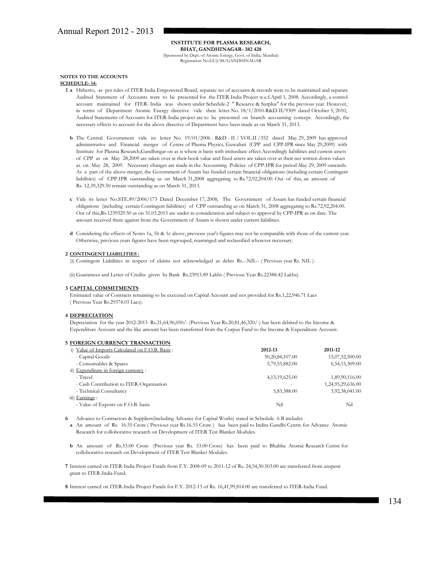(Sponsored by Dept. of Atomic Energy, Govt. of India, Mumbai) Registration No.GUJ/88/GANDHINAGAR

## **NOTES TO THE ACCOUNTS**

#### **SCHEDULE- 14:**

- **1 a** Hitherto, as per rules of ITER India Empowered Board, separate set of accounts & records were to be maintained and separate Audited Statement of Accounts were to be presented for the ITER-India Project w.e.f.April 1, 2008. Accordingly, a control account maintained for ITER- India was shown under Schedule-2 " Researve & Surplus" for the previous year. However, in terms of Department Atomic Energy directive vide their letter No. 18/1/2010-R&D-II/9309 dated October 5, 2010, Audited Statements of Accounts for ITER-India project are to be presented on branch accounting concept. Accordingly, the necessary effects to account for the above directive of Department have been made as on March 31, 2013.
- **b** The Central Government vide its letter No.  $19/01/2006$  R&D II / VOL.II /352 dated May 29, 2009 has approved Rs. 12,39,329.50 remain outstanding as on March 31, 2013. As a part of the above merger, the Government of Assam has funded certain financial obligations (including certain Contingent liabilities) of CPP-IPR outstanding as on March 31,2008 aggregating to Rs.72,92,204.00. Out of this, an amount of administrative and Financial merger of Centre of Plasma Physics, Guwahati (CPP and CPP-IPR since May 29,2009) with Institute for Plasma Research,Gandhingar on as is where is basis with immediate effect.Accordingly liabilities and current assets of CPP as on May 28,2009 are taken over at their book value and fixed assets are taken over at their net written down values as on May 28, 2009. Necessary changes are made in the Accounting Policies of CPP-IPR for period May 29, 2009 onwards.
- **c** Vide its letter No.STE.89/2006/173 Dated December 17, 2008, The Government of Assam has funded certain financial amount received there against from the Government of Assam is shown under current liabilities. obligations (including certain Contingent liabilities) of CPP outstanding as on March 31, 2008 aggregating to Rs.72,92,204.00. Out of this,Rs.1239329.50 as on 31.03.2013 are under re-consideration and subject to approval by CPP-IPR as on date. The
- **d** Considering the effects of Notes 1a, 1b & 1c above, previous year's figures may not be comparable with those of the current year. Otherwise, previous years figures have been regrouped, rearranged and reclassified wherever necessary.

#### **2 CONTINGENT LIABILITIES :**

(i) Contingent Liabilities in respect of claims not acknowledged as debts Rs.--NIL-- ( Previous year Rs. NIL ).

(ii) Guarantees and Letter of Credits given by Bank Rs.23915.89 Lakhs ( Previous Year Rs.22388.42 Lakhs).

#### **3 CAPITAL COMMITMENTS**

( Previous Year Rs.29374.03 Lacs). Estimated value of Contracts remaining to be executed on Capital Account and not provided for Rs.1,22,946.71 Lacs

#### **4 DEPRECIATION**

Depreciation for the year 2012-2013 Rs.21,64,96,050/- (Previous Year Rs.20,81,46,320/-) has been debited to the Income & Expenditure Account and the like amount has been transferred from the Corpus Fund to the Income & Expenditure Account.

#### **5 FOREIGN CURRENCY TRANSACTION**

| i) Value of Imports Calculated on F.O.B. Basis: | 2012-13            | 2011-12           |
|-------------------------------------------------|--------------------|-------------------|
| - Capital Goods                                 | 50, 20, 84, 107.00 | 15,07,52,500.00   |
| - Consumables & Spares                          | 5,79,55,882.00     | 6,54,15,309.00    |
| ii) Expenditure in foreign currency:            |                    |                   |
| - Travel                                        | 4, 13, 19, 625.00  | 1,89,90,116.00    |
| - Cash Contribution to ITER-Organisation        |                    | 1,24,95,29,636.00 |
| - Technical Consultancy                         | 5,83,388.00        | 3,92,38,041.00    |
| $\overline{\text{iii}}$ Earnings :              |                    |                   |
| - Value of Exports on F.O.B. basis              | Nil                | Nil               |

**6** Advance to Contractors & Suppliers(including Advance for Capital Works) stated in Schedule- 6 B includes

**a** An amount of Rs. 16.55 Crore ( Previous year Rs.16.55 Crore ) has been paid to Indira Gandhi Centre for Advance Atomic Research for colloborative research on Development of ITER Test Blanket Modules.

**b** An amount of Rs.53.00 Crore (Previous year Rs. 53.00 Crore) has been paid to Bhabha Atomic Research Centre for colloborative research on Development of ITER Test Blanket Modules.

**7** Interest earned on ITER-India Project Funds from F.Y. 2008-09 to 2011-12 of Rs. 24,54,50.503.00 are transferred from unspent grant to ITER-India Fund.

**8** Interest earned on ITER-India Project Funds for F.Y. 2012-13 of Rs. 16,41,99,814.00 are transferred to ITER-India Fund.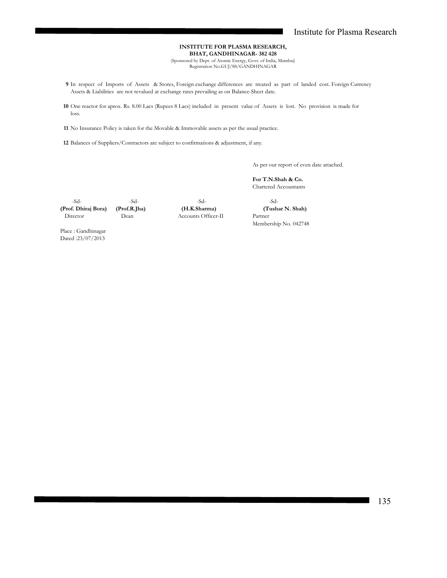(Sponsored by Dept. of Atomic Energy, Govt. of India, Mumbai) Registration No.GUJ/88/GANDHINAGAR

- **9** In respect of Imports of Assets & Stores, Foreign exchange differences are treated as part of landed cost. Foreign Currency Assets & Liabilities are not revalued at exchange rates prevailing as on Balance-Sheet date.
- **10** One reactor for aprox. Rs. 8.00 Lacs (Rupees 8 Lacs) included in present value of Assets is lost. No provision is made for loss.
- **11** No Insurance Policy is taken for the Movable & Immovable assets as per the usual practice.

**12** Balances of Suppliers/Contractors are subject to confirmations & adjustment, if any.

As per our report of even date attached.

**For T.N.Shah & Co.** Chartered Accountants

**(Prof. Dhiraj Bora) (Prof.R.Jha) (H.K.Sharma) (Tushar N. Shah)** -Sd- -Sd- -Sd- -Sd-

Accounts Officer-II

Membership No. 042748

Place : Gandhinagar Dated :23/07/2013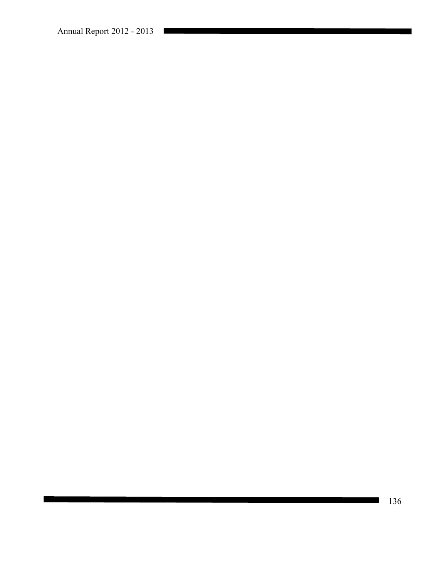<u> 1980 - John Harry Harry Harry Harry Harry Harry Harry Harry Harry Harry Harry Harry Harry Harry Harry Harry Harry Harry Harry Harry Harry Harry Harry Harry Harry Harry Harry Harry Harry Harry Harry Harry Harry Harry Harr</u>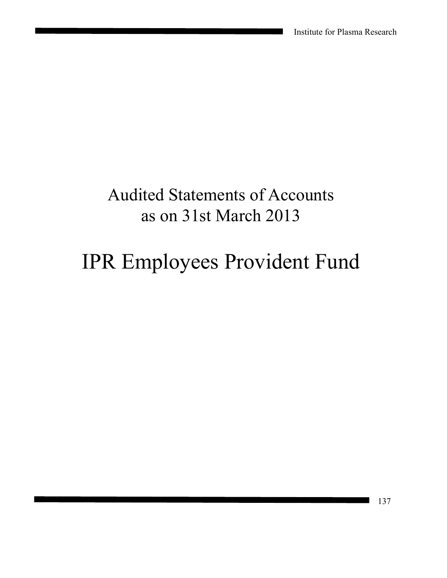## Audited Statements of Accounts as on 31st March 2013

# IPR Employees Provident Fund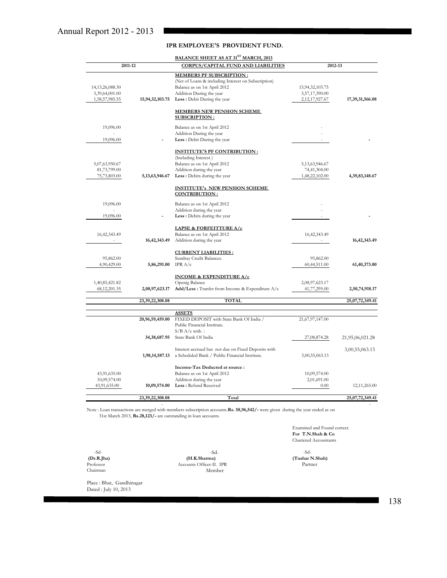|                     |                    | <b>BALANCE SHEET AS AT 31ST MARCH, 2013</b>                             |                 |                 |
|---------------------|--------------------|-------------------------------------------------------------------------|-----------------|-----------------|
| 2011-12             |                    | <b>CORPUS/CAPITAL FUND AND LIABILITIES</b>                              | 2012-13         |                 |
|                     |                    | <b>MEMBERS PF SUBSCRIPTION:</b>                                         |                 |                 |
|                     |                    | (Net of Loans & including Interest on Subscription)                     |                 |                 |
| 14, 13, 26, 088. 30 |                    | Balance as on 1st April 2012                                            | 15,94,32,103.75 |                 |
| 3,39,64,001.00      |                    | Addition During the year                                                | 3,57,17,390.00  |                 |
| 1,58,57,985.55      | 15,94,32,103.75    | Less : Debit During the year                                            | 2,12,17,927.67  | 17,39,31,566.08 |
|                     |                    | <b>MEMBERS NEW PENSION SCHEME</b>                                       |                 |                 |
|                     |                    | <b>SUBSCRIPTION:</b>                                                    |                 |                 |
|                     |                    |                                                                         |                 |                 |
| 19,096.00           |                    | Balance as on 1st April 2012                                            |                 |                 |
|                     |                    | Addition During the year                                                |                 |                 |
| 19,096.00           |                    | Less : Debit During the year                                            |                 |                 |
|                     |                    | <b>INSTITUTE'S PF CONTRIBUTION:</b>                                     |                 |                 |
|                     |                    | (Including Interest)                                                    |                 |                 |
| 5,07,63,950.67      |                    | Balance as on 1st April 2012                                            | 5,13,63,946.67  |                 |
| 81,73,799.00        |                    | Addition during the year                                                | 74,41,304.00    |                 |
| 75,73,803.00        | 5, 13, 63, 946. 67 | Less : Debits during the year                                           | 1,48,22,102.00  | 4,39,83,148.67  |
|                     |                    | <b>INSTITUTE's NEW PENSION SCHEME</b><br><b>CONTRIBUTION:</b>           |                 |                 |
| 19,096.00           |                    | Balance as on 1st April 2012                                            |                 |                 |
|                     |                    | Addition during the year                                                |                 |                 |
| 19,096.00           |                    | Less : Debits during the year                                           |                 |                 |
|                     |                    | <b>LAPSE &amp; FORFEITTURE A/c</b>                                      |                 |                 |
| 16,42,343.49        |                    | Balance as on 1st April 2012                                            | 16,42,343.49    |                 |
|                     | 16,42,343.49       | Addition during the year                                                |                 | 16,42,343.49    |
|                     |                    |                                                                         |                 |                 |
|                     |                    | <b>CURRENT LIABILITIES:</b>                                             |                 |                 |
| 95,862.00           |                    | Sundray Credit Balances.                                                | 95,862.00       |                 |
| 4,90,429.00         | 5,86,291.00        | IPR $A/c$                                                               | 60,44,511.00    | 61,40,373.00    |
|                     |                    | <b>INCOME &amp; EXPENDITURE A/c</b>                                     |                 |                 |
| 1,40,85,421.82      |                    | Openig Balance                                                          | 2,08,97,623.17  |                 |
| 68, 12, 201. 35     | 2,08,97,623.17     | Add/Less: Tranfer from Income & Expenditure A/c                         | 41,77,295.00    | 2,50,74,918.17  |
|                     | 23,39,22,308.08    | <b>TOTAL</b>                                                            |                 | 25,07,72,349.41 |
|                     |                    |                                                                         |                 |                 |
|                     |                    | <b>ASSETS</b>                                                           |                 |                 |
|                     | 20,96,59,459.00    | FIXED DEPOSIT with State Bank Of India /<br>Public Financial Institute. | 21,67,97,147.00 |                 |
|                     |                    | $S/B A/c with$ :                                                        |                 |                 |
|                     | 34, 38, 687. 95    | State Bank Of India                                                     | 27,08,874.28    |                 |
|                     |                    |                                                                         |                 | 21,95,06,021.28 |
|                     |                    | Interest accrued but not due on Fixed Deposits with                     |                 | 3,00,55,063.13  |
|                     | 1,98,14,587.13     | a Scheduled Bank / Public Financial Institute.                          | 3,00,55,063.13  |                 |
|                     |                    | Income-Tax Deducted at source :                                         |                 |                 |
| 43,91,635.00        |                    | Balance as on 1st April 2012                                            | 10,09,574.00    |                 |
| 10,09,574.00        |                    | Addition during the year                                                | 2,01,691.00     |                 |
| 43,91,635.00        | 10,09,574.00       | Less: Refund Received                                                   | 0.00            | 12, 11, 265.00  |
|                     |                    |                                                                         |                 |                 |

#### **IPR EMPLOYEE'S PROVIDENT FUND.**

 - - Note : Loan transactions are merged with members subscription accounts.**Rs. 58,96,542/-** were given during the year ended as on 31st March 2013, **Rs.28,123/-** are outstanding in loan accounts.

**23,39,22,308.08 Total 25,07,72,349.41**

Examined and Found correct. **For T.N.Shah & Co** Chartered Accountants

-Sd-  $-Sd-$  **(Dr.R.Jha) (H.K.Sharma) (Tushar N.Shah)** Professor Accounts Officer-II. IPR Chairman Member Member

Place : Bhat, Gandhinagar Dated : July 10, 2013